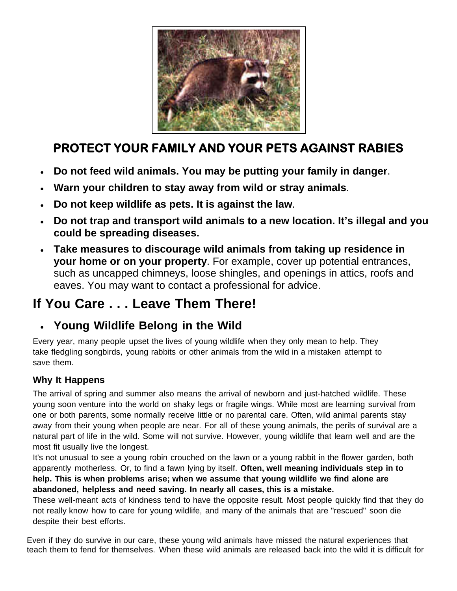

## **PROTECT YOUR FAMILY AND YOUR PETS AGAINST RABIES**

- **Do not feed wild animals. You may be putting your family in danger**.
- **Warn your children to stay away from wild or stray animals**.
- **Do not keep wildlife as pets. It is against the law**.
- **Do not trap and transport wild animals to a new location. It's illegal and you could be spreading diseases.**
- **Take measures to discourage wild animals from taking up residence in your home or on your property**. For example, cover up potential entrances, such as uncapped chimneys, loose shingles, and openings in attics, roofs and eaves. You may want to contact a professional for advice.

## **If You Care . . . Leave Them There!**

## **Young Wildlife Belong in the Wild**

Every year, many people upset the lives of young wildlife when they only mean to help. They take fledgling songbirds, young rabbits or other animals from the wild in a mistaken attempt to save them.

## **Why It Happens**

The arrival of spring and summer also means the arrival of newborn and just-hatched wildlife. These young soon venture into the world on shaky legs or fragile wings. While most are learning survival from one or both parents, some normally receive little or no parental care. Often, wild animal parents stay away from their young when people are near. For all of these young animals, the perils of survival are a natural part of life in the wild. Some will not survive. However, young wildlife that learn well and are the most fit usually live the longest.

It's not unusual to see a young robin crouched on the lawn or a young rabbit in the flower garden, both apparently motherless. Or, to find a fawn lying by itself. **Often, well meaning individuals step in to help. This is when problems arise; when we assume that young wildlife we find alone are abandoned, helpless and need saving. In nearly all cases, this is a mistake.**

These well-meant acts of kindness tend to have the opposite result. Most people quickly find that they do not really know how to care for young wildlife, and many of the animals that are "rescued" soon die despite their best efforts.

Even if they do survive in our care, these young wild animals have missed the natural experiences that teach them to fend for themselves. When these wild animals are released back into the wild it is difficult for